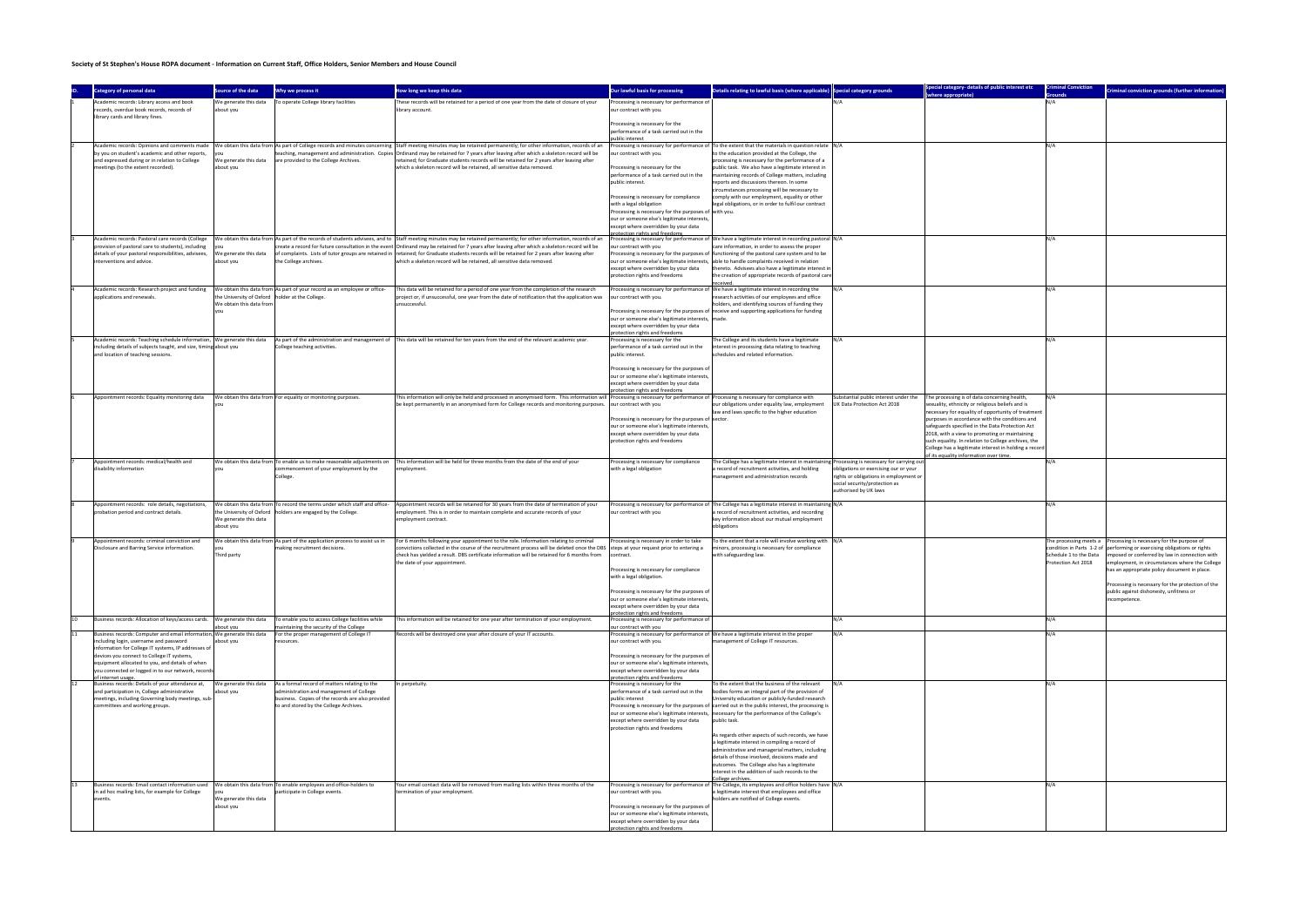## Society of St Stephen's House ROPA document - Information on Current Staff, Office Holders, Senior Members and House Council

| <b>Category of personal data</b>                                                                  | Source of the data                               | Why we process it                                                                                                 | low long we keep this data                                                                                                                                                                                                                                                                           | Our lawful basis for processing                                                                     | Details relating to lawful basis (where applicable) Special category grounds                                                                                                                 |                                                        | Special category- details of public interest etc                                                                                         | <b>Criminal Conviction</b> | Criminal conviction grounds (further information)                                                                                                |
|---------------------------------------------------------------------------------------------------|--------------------------------------------------|-------------------------------------------------------------------------------------------------------------------|------------------------------------------------------------------------------------------------------------------------------------------------------------------------------------------------------------------------------------------------------------------------------------------------------|-----------------------------------------------------------------------------------------------------|----------------------------------------------------------------------------------------------------------------------------------------------------------------------------------------------|--------------------------------------------------------|------------------------------------------------------------------------------------------------------------------------------------------|----------------------------|--------------------------------------------------------------------------------------------------------------------------------------------------|
| Academic records: Library access and book                                                         | We generate this data                            | To operate College library facilities                                                                             | These records will be retained for a period of one year from the date of closure of your                                                                                                                                                                                                             | Processing is necessary for performance of                                                          |                                                                                                                                                                                              |                                                        | where appropriate)                                                                                                                       |                            |                                                                                                                                                  |
| records, overdue book records, records of                                                         | about you                                        |                                                                                                                   | library account.                                                                                                                                                                                                                                                                                     | our contract with you.                                                                              |                                                                                                                                                                                              |                                                        |                                                                                                                                          |                            |                                                                                                                                                  |
| library cards and library fines.                                                                  |                                                  |                                                                                                                   |                                                                                                                                                                                                                                                                                                      | Processing is necessary for the<br>performance of a task carried out in the                         |                                                                                                                                                                                              |                                                        |                                                                                                                                          |                            |                                                                                                                                                  |
|                                                                                                   |                                                  |                                                                                                                   | Academic records: Opinions and comments made  We obtain this data from  As part of College records and minutes concerning  Staff meeting minutes may be retained permanently; for other information, records of an                                                                                   | ublic interest                                                                                      | Processing is necessary for performance of  To the extent that the materials in question relate  N/A                                                                                         |                                                        |                                                                                                                                          | N/A                        |                                                                                                                                                  |
| by you on student's academic and other reports,                                                   |                                                  |                                                                                                                   | teaching, management and administration. Copies Ordinand may be retained for 7 years after leaving after which a skeleton record will be                                                                                                                                                             | our contract with you.                                                                              | to the education provided at the College, the                                                                                                                                                |                                                        |                                                                                                                                          |                            |                                                                                                                                                  |
| and expressed during or in relation to College                                                    | We generate this data                            | are provided to the College Archives.                                                                             | retained; for Graduate students records will be retained for 2 years after leaving after                                                                                                                                                                                                             |                                                                                                     | processing is necessary for the performance of a                                                                                                                                             |                                                        |                                                                                                                                          |                            |                                                                                                                                                  |
| meetings (to the extent recorded).                                                                | about you                                        |                                                                                                                   | which a skeleton record will be retained, all sensitive data removed.                                                                                                                                                                                                                                | Processing is necessary for the<br>performance of a task carried out in the                         | public task. We also have a legitimate interest in<br>maintaining records of College matters, including                                                                                      |                                                        |                                                                                                                                          |                            |                                                                                                                                                  |
|                                                                                                   |                                                  |                                                                                                                   |                                                                                                                                                                                                                                                                                                      | public interest.                                                                                    | reports and discussions thereon. In some                                                                                                                                                     |                                                        |                                                                                                                                          |                            |                                                                                                                                                  |
|                                                                                                   |                                                  |                                                                                                                   |                                                                                                                                                                                                                                                                                                      | Processing is necessary for compliance                                                              | circumstances processing will be necessary to<br>comply with our employment, equality or other                                                                                               |                                                        |                                                                                                                                          |                            |                                                                                                                                                  |
|                                                                                                   |                                                  |                                                                                                                   |                                                                                                                                                                                                                                                                                                      | with a legal obligation                                                                             | legal obligations, or in order to fulfil our contract                                                                                                                                        |                                                        |                                                                                                                                          |                            |                                                                                                                                                  |
|                                                                                                   |                                                  |                                                                                                                   |                                                                                                                                                                                                                                                                                                      | rocessing is necessary for the purposes of with you.<br>our or someone else's legitimate interests, |                                                                                                                                                                                              |                                                        |                                                                                                                                          |                            |                                                                                                                                                  |
|                                                                                                   |                                                  |                                                                                                                   |                                                                                                                                                                                                                                                                                                      | except where overridden by your data                                                                |                                                                                                                                                                                              |                                                        |                                                                                                                                          |                            |                                                                                                                                                  |
| Academic records: Pastoral care records (College                                                  |                                                  |                                                                                                                   | We obtain this data from As part of the records of students advisees, and to Staff meeting minutes may be retained permanently; for other information, records of an                                                                                                                                 | otection rights and freedoms.                                                                       | Processing is necessary for performance of  We have a legitimate interest in recording pastoral  N/A                                                                                         |                                                        |                                                                                                                                          | N/A                        |                                                                                                                                                  |
| provision of pastoral care to students), including                                                |                                                  |                                                                                                                   | create a record for future consultation in the event Ordinand may be retained for 7 years after leaving after which a skeleton record will be                                                                                                                                                        | our contract with you                                                                               | care information, in order to assess the proper                                                                                                                                              |                                                        |                                                                                                                                          |                            |                                                                                                                                                  |
| details of your pastoral responsibilities, advisees,<br>interventions and advice.                 | We generate this data<br>about you               | the College archives.                                                                                             | of complaints. Lists of tutor groups are retained in  retained; for Graduate students records will be retained for 2 years after leaving after<br>which a skeleton record will be retained, all sensitive data removed.                                                                              |                                                                                                     | rocessing is necessary for the purposes of  functioning of the pastoral care system and to be<br>our or someone else's legitimate interests,  able to handle complaints received in relation |                                                        |                                                                                                                                          |                            |                                                                                                                                                  |
|                                                                                                   |                                                  |                                                                                                                   |                                                                                                                                                                                                                                                                                                      | except where overridden by your data                                                                | thereto. Advisees also have a legitimate interest in                                                                                                                                         |                                                        |                                                                                                                                          |                            |                                                                                                                                                  |
|                                                                                                   |                                                  |                                                                                                                   |                                                                                                                                                                                                                                                                                                      | protection rights and freedoms                                                                      | the creation of appropriate records of pastoral care<br>received                                                                                                                             |                                                        |                                                                                                                                          |                            |                                                                                                                                                  |
| Academic records: Research project and funding                                                    | he University of Oxford   holder at the College. | We obtain this data from As part of your record as an employee or office-                                         | This data will be retained for a period of one year from the completion of the research                                                                                                                                                                                                              |                                                                                                     | rocessing is necessary for performance of We have a legitimate interest in recording the                                                                                                     |                                                        |                                                                                                                                          | N/A                        |                                                                                                                                                  |
| applications and renewals                                                                         | We obtain this data from                         |                                                                                                                   | roject or, if unsuccessful, one year from the date of notification that the application was<br>unsuccessful.                                                                                                                                                                                         | our contract with you.                                                                              | research activities of our employees and office<br>holders, and identifying sources of funding they                                                                                          |                                                        |                                                                                                                                          |                            |                                                                                                                                                  |
|                                                                                                   |                                                  |                                                                                                                   |                                                                                                                                                                                                                                                                                                      |                                                                                                     | Processing is necessary for the purposes of receive and supporting applications for funding                                                                                                  |                                                        |                                                                                                                                          |                            |                                                                                                                                                  |
|                                                                                                   |                                                  |                                                                                                                   |                                                                                                                                                                                                                                                                                                      | our or someone else's legitimate interests, made.<br>except where overridden by your data           |                                                                                                                                                                                              |                                                        |                                                                                                                                          |                            |                                                                                                                                                  |
| Academic records: Teaching schedule information, VVe generate this data                           |                                                  |                                                                                                                   | As part of the administration and management of  This data will be retained for ten years from the end of the relevant academic year.                                                                                                                                                                | rotection rights and freedoms                                                                       | The College and its students have a legitimate                                                                                                                                               | N/A                                                    |                                                                                                                                          | N/A                        |                                                                                                                                                  |
| including details of subjects taught, and size, timing about you                                  |                                                  | College teaching activities.                                                                                      |                                                                                                                                                                                                                                                                                                      | Processing is necessary for the<br>performance of a task carried out in the                         | interest in processing data relating to teaching                                                                                                                                             |                                                        |                                                                                                                                          |                            |                                                                                                                                                  |
| and location of teaching sessions.                                                                |                                                  |                                                                                                                   |                                                                                                                                                                                                                                                                                                      | public interest.                                                                                    | schedules and related information.                                                                                                                                                           |                                                        |                                                                                                                                          |                            |                                                                                                                                                  |
|                                                                                                   |                                                  |                                                                                                                   |                                                                                                                                                                                                                                                                                                      | Processing is necessary for the purposes of                                                         |                                                                                                                                                                                              |                                                        |                                                                                                                                          |                            |                                                                                                                                                  |
|                                                                                                   |                                                  |                                                                                                                   |                                                                                                                                                                                                                                                                                                      | our or someone else's legitimate interests,<br>except where overridden by your data                 |                                                                                                                                                                                              |                                                        |                                                                                                                                          |                            |                                                                                                                                                  |
|                                                                                                   |                                                  |                                                                                                                   |                                                                                                                                                                                                                                                                                                      | rotection rights and freedoms                                                                       |                                                                                                                                                                                              |                                                        |                                                                                                                                          |                            |                                                                                                                                                  |
| Appointment records: Equality monitoring data                                                     |                                                  | We obtain this data from For equality or monitoring purposes.                                                     | This information will only be held and processed in anonymised form. This information will  Processing is necessary for performance of  Processing is necessary for compliance with<br>be kept permanently in an anonymised form for College records and monitoring purposes. Jour contract with you |                                                                                                     | our obligations under equality law, employment                                                                                                                                               | JK Data Protection Act 2018                            | Substantial public interest under the   The processing is of data concerning health,<br>sexuality, ethnicity or religious beliefs and is | N/A                        |                                                                                                                                                  |
|                                                                                                   |                                                  |                                                                                                                   |                                                                                                                                                                                                                                                                                                      |                                                                                                     | law and laws specific to the higher education                                                                                                                                                |                                                        | necessary for equality of opportunity of treatment                                                                                       |                            |                                                                                                                                                  |
|                                                                                                   |                                                  |                                                                                                                   |                                                                                                                                                                                                                                                                                                      | Processing is necessary for the purposes of sector.                                                 |                                                                                                                                                                                              |                                                        | purposes in accordance with the conditions and                                                                                           |                            |                                                                                                                                                  |
|                                                                                                   |                                                  |                                                                                                                   |                                                                                                                                                                                                                                                                                                      | our or someone else's legitimate interests,<br>except where overridden by your data                 |                                                                                                                                                                                              |                                                        | safeguards specified in the Data Protection Act<br>2018, with a view to promoting or maintaining                                         |                            |                                                                                                                                                  |
|                                                                                                   |                                                  |                                                                                                                   |                                                                                                                                                                                                                                                                                                      | protection rights and freedoms                                                                      |                                                                                                                                                                                              |                                                        | such equality. In relation to College archives, the                                                                                      |                            |                                                                                                                                                  |
|                                                                                                   |                                                  |                                                                                                                   |                                                                                                                                                                                                                                                                                                      |                                                                                                     |                                                                                                                                                                                              |                                                        | College has a legitimate interest in holding a record<br>f its equality information over time.                                           |                            |                                                                                                                                                  |
| Appointment records: medical/health and<br>disability information                                 |                                                  | We obtain this data from To enable us to make reasonable adjustments on<br>commencement of your employment by the | This information will be held for three months from the date of the end of your<br>employment.                                                                                                                                                                                                       | Processing is necessary for compliance<br>with a legal obligation                                   | The College has a legitimate interest in maintaining Processing is necessary for carrying out<br>a record of recruitment activities, and holding                                             | obligations or exercising our or your                  |                                                                                                                                          | N/A                        |                                                                                                                                                  |
|                                                                                                   |                                                  | College.                                                                                                          |                                                                                                                                                                                                                                                                                                      |                                                                                                     | management and administration records                                                                                                                                                        | rights or obligations in employment or                 |                                                                                                                                          |                            |                                                                                                                                                  |
|                                                                                                   |                                                  |                                                                                                                   |                                                                                                                                                                                                                                                                                                      |                                                                                                     |                                                                                                                                                                                              | social security/protection as<br>authorised by UK laws |                                                                                                                                          |                            |                                                                                                                                                  |
|                                                                                                   |                                                  | We obtain this data from To record the terms under which staff and office-                                        |                                                                                                                                                                                                                                                                                                      |                                                                                                     |                                                                                                                                                                                              |                                                        |                                                                                                                                          | N/A                        |                                                                                                                                                  |
| Appointment records: role details, negotiations,<br>probation period and contract details.        |                                                  | the University of Oxford   holders are engaged by the College.                                                    | Appointment records will be retained for 30 years from the date of termination of your<br>employment. This is in order to maintain complete and accurate records of your                                                                                                                             | our contract with you                                                                               | -rocessing is necessary for performance of  The College has a legitimate interest in maintaining  N/A<br>a record of recruitment activities, and recording                                   |                                                        |                                                                                                                                          |                            |                                                                                                                                                  |
|                                                                                                   | We generate this data                            |                                                                                                                   | employment contract.                                                                                                                                                                                                                                                                                 |                                                                                                     | key information about our mutual employment                                                                                                                                                  |                                                        |                                                                                                                                          |                            |                                                                                                                                                  |
|                                                                                                   | about you                                        |                                                                                                                   |                                                                                                                                                                                                                                                                                                      |                                                                                                     | obligations                                                                                                                                                                                  |                                                        |                                                                                                                                          |                            |                                                                                                                                                  |
| Appointment records: criminal conviction and<br>Disclosure and Barring Service information.       |                                                  | We obtain this data from As part of the application process to assist us in<br>naking recruitment decisions.      | For 6 months following your appointment to the role. Information relating to criminal<br>convictions collected in the course of the recruitment process will be deleted once the DBS  steps at your request prior to entering a                                                                      | Processing is necessary in order to take                                                            | To the extent that a role will involve working with N/A<br>minors, processing is necessary for compliance                                                                                    |                                                        |                                                                                                                                          |                            | The processing meets a   Processing is necessary for the purpose of<br>condition in Parts 1-2 of  performing or exercising obligations or rights |
|                                                                                                   | Third party                                      |                                                                                                                   | check has yielded a result. DBS certificate information will be retained for 6 months from                                                                                                                                                                                                           | contract                                                                                            | with safeguarding law.                                                                                                                                                                       |                                                        |                                                                                                                                          | Schedule 1 to the Data     | imposed or conferred by law in connection with                                                                                                   |
|                                                                                                   |                                                  |                                                                                                                   | the date of your appointment.                                                                                                                                                                                                                                                                        | Processing is necessary for compliance                                                              |                                                                                                                                                                                              |                                                        |                                                                                                                                          | Protection Act 2018        | employment, in circumstances where the College<br>has an appropriate policy document in place.                                                   |
|                                                                                                   |                                                  |                                                                                                                   |                                                                                                                                                                                                                                                                                                      | with a legal obligation.                                                                            |                                                                                                                                                                                              |                                                        |                                                                                                                                          |                            |                                                                                                                                                  |
|                                                                                                   |                                                  |                                                                                                                   |                                                                                                                                                                                                                                                                                                      | Processing is necessary for the purposes of                                                         |                                                                                                                                                                                              |                                                        |                                                                                                                                          |                            | Processing is necessary for the protection of the<br>public against dishonesty, unfitness or                                                     |
|                                                                                                   |                                                  |                                                                                                                   |                                                                                                                                                                                                                                                                                                      | our or someone else's legitimate interests,                                                         |                                                                                                                                                                                              |                                                        |                                                                                                                                          |                            | incompetence.                                                                                                                                    |
|                                                                                                   |                                                  |                                                                                                                   |                                                                                                                                                                                                                                                                                                      | except where overridden by your data<br>rotection rights and freedoms                               |                                                                                                                                                                                              |                                                        |                                                                                                                                          |                            |                                                                                                                                                  |
| Business records: Allocation of keys/access cards. We generate this data                          |                                                  | To enable you to access College facilities while                                                                  | This information will be retained for one year after termination of your employment.                                                                                                                                                                                                                 | Processing is necessary for performance of                                                          |                                                                                                                                                                                              | N/A                                                    |                                                                                                                                          | N/A                        |                                                                                                                                                  |
| Business records: Computer and email information, We generate this data                           | ibout you                                        | aintaining the security of the College<br>For the proper management of College IT                                 | Records will be destroyed one year after closure of your IT accounts.                                                                                                                                                                                                                                | our contract with you                                                                               | Processing is necessary for performance of We have a legitimate interest in the proper                                                                                                       | N/A                                                    |                                                                                                                                          | N/A                        |                                                                                                                                                  |
| including login, username and password                                                            | about you                                        | resources.                                                                                                        |                                                                                                                                                                                                                                                                                                      | our contract with you.                                                                              | management of College IT resources.                                                                                                                                                          |                                                        |                                                                                                                                          |                            |                                                                                                                                                  |
| information for College IT systems, IP addresses of<br>devices you connect to College IT systems, |                                                  |                                                                                                                   |                                                                                                                                                                                                                                                                                                      | Processing is necessary for the purposes of                                                         |                                                                                                                                                                                              |                                                        |                                                                                                                                          |                            |                                                                                                                                                  |
| equipment allocated to you, and details of when                                                   |                                                  |                                                                                                                   |                                                                                                                                                                                                                                                                                                      | our or someone else's legitimate interests,                                                         |                                                                                                                                                                                              |                                                        |                                                                                                                                          |                            |                                                                                                                                                  |
| you connected or logged in to our network, records<br>of internet usage.                          |                                                  |                                                                                                                   |                                                                                                                                                                                                                                                                                                      | except where overridden by your data<br>protection rights and freedoms                              |                                                                                                                                                                                              |                                                        |                                                                                                                                          |                            |                                                                                                                                                  |
| Business records: Details of your attendance at,                                                  | We generate this data                            | As a formal record of matters relating to the                                                                     | In perpetuity.                                                                                                                                                                                                                                                                                       | Processing is necessary for the                                                                     | To the extent that the business of the relevant                                                                                                                                              |                                                        |                                                                                                                                          | N/A                        |                                                                                                                                                  |
| and participation in, College administrative<br>meetings, including Governing body meetings, sub- | about you                                        | administration and management of College<br>business. Copies of the records are also provided                     |                                                                                                                                                                                                                                                                                                      | performance of a task carried out in the<br>public interest                                         | bodies forms an integral part of the provision of<br>University education or publicly-funded research                                                                                        |                                                        |                                                                                                                                          |                            |                                                                                                                                                  |
| committees and working groups.                                                                    |                                                  | to and stored by the College Archives.                                                                            |                                                                                                                                                                                                                                                                                                      |                                                                                                     | Processing is necessary for the purposes of carried out in the public interest, the processing is                                                                                            |                                                        |                                                                                                                                          |                            |                                                                                                                                                  |
|                                                                                                   |                                                  |                                                                                                                   |                                                                                                                                                                                                                                                                                                      | except where overridden by your data                                                                | our or someone else's legitimate interests, necessary for the performance of the College's<br>public task.                                                                                   |                                                        |                                                                                                                                          |                            |                                                                                                                                                  |
|                                                                                                   |                                                  |                                                                                                                   |                                                                                                                                                                                                                                                                                                      | protection rights and freedoms                                                                      |                                                                                                                                                                                              |                                                        |                                                                                                                                          |                            |                                                                                                                                                  |
|                                                                                                   |                                                  |                                                                                                                   |                                                                                                                                                                                                                                                                                                      |                                                                                                     | As regards other aspects of such records, we have<br>a legitimate interest in compiling a record of                                                                                          |                                                        |                                                                                                                                          |                            |                                                                                                                                                  |
|                                                                                                   |                                                  |                                                                                                                   |                                                                                                                                                                                                                                                                                                      |                                                                                                     | administrative and managerial matters, including                                                                                                                                             |                                                        |                                                                                                                                          |                            |                                                                                                                                                  |
|                                                                                                   |                                                  |                                                                                                                   |                                                                                                                                                                                                                                                                                                      |                                                                                                     | details of those involved, decisions made and<br>outcomes. The College also has a legitimate                                                                                                 |                                                        |                                                                                                                                          |                            |                                                                                                                                                  |
|                                                                                                   |                                                  |                                                                                                                   |                                                                                                                                                                                                                                                                                                      |                                                                                                     | interest in the addition of such records to the                                                                                                                                              |                                                        |                                                                                                                                          |                            |                                                                                                                                                  |
| Business records: Email contact information used                                                  |                                                  | We obtain this data from To enable employees and office-holders to                                                | Your email contact data will be removed from mailing lists within three months of the                                                                                                                                                                                                                |                                                                                                     | College archives.<br>Processing is necessary for performance of The College, its employees and office holders have N/A                                                                       |                                                        |                                                                                                                                          | N/A                        |                                                                                                                                                  |
| in ad hoc mailing lists, for example for College<br>events.                                       | We generate this data                            | participate in College events.                                                                                    | termination of your employment.                                                                                                                                                                                                                                                                      | our contract with you.                                                                              | a legitimate interest that employees and office<br>holders are notified of College events.                                                                                                   |                                                        |                                                                                                                                          |                            |                                                                                                                                                  |
|                                                                                                   | about you                                        |                                                                                                                   |                                                                                                                                                                                                                                                                                                      | Processing is necessary for the purposes of                                                         |                                                                                                                                                                                              |                                                        |                                                                                                                                          |                            |                                                                                                                                                  |
|                                                                                                   |                                                  |                                                                                                                   |                                                                                                                                                                                                                                                                                                      | our or someone else's legitimate interests,<br>except where overridden by your data                 |                                                                                                                                                                                              |                                                        |                                                                                                                                          |                            |                                                                                                                                                  |
|                                                                                                   |                                                  |                                                                                                                   |                                                                                                                                                                                                                                                                                                      | rotection rights and freedoms                                                                       |                                                                                                                                                                                              |                                                        |                                                                                                                                          |                            |                                                                                                                                                  |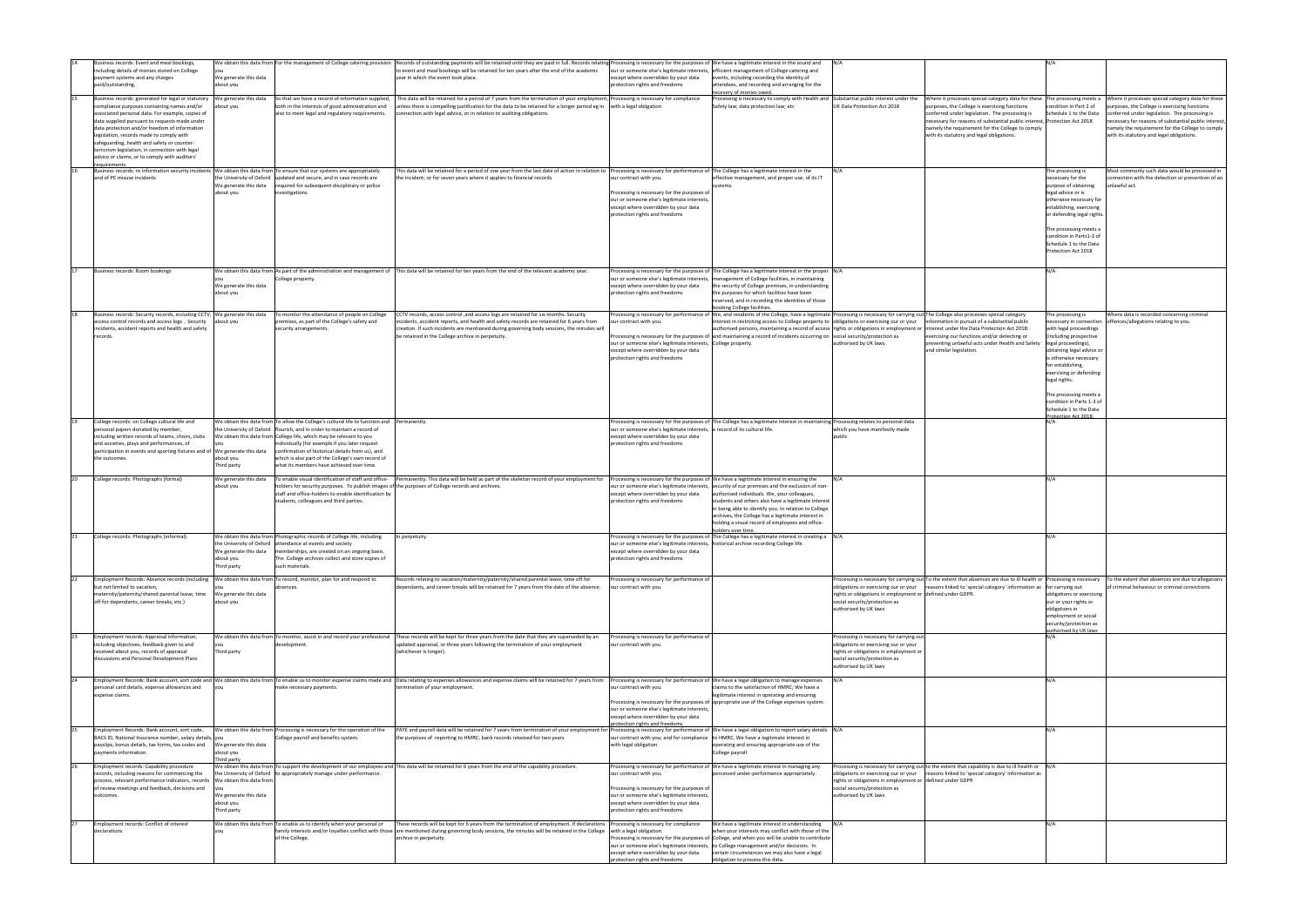|                                                                                                                                                                   | N/A                                                                                                                                                                                                                                                                                                                                                      |                                                                                                                                                                                                                                                                                                                 |
|-------------------------------------------------------------------------------------------------------------------------------------------------------------------|----------------------------------------------------------------------------------------------------------------------------------------------------------------------------------------------------------------------------------------------------------------------------------------------------------------------------------------------------------|-----------------------------------------------------------------------------------------------------------------------------------------------------------------------------------------------------------------------------------------------------------------------------------------------------------------|
| category data for these<br>ercising functions<br>. The processing is<br>bstantial public interest, Protection Act 2018<br>r the College to comply<br>obligations. | The processing meets a<br>condition in Part 2 of<br>Schedule 1 to the Data                                                                                                                                                                                                                                                                               | Where it processes special category data for these<br>purposes, the College is exercising functions<br>conferred under legislation. The processing is<br>necessary for reasons of substantial public interest,<br>namely the requirement for the College to comply<br>with its statutory and legal obligations. |
|                                                                                                                                                                   | The processing is<br>necessary for the<br>purpose of obtaining<br>legal advice or is<br>otherwise necessary for<br>establishing, exercising<br>or defending legal rights.<br>The processing meets a<br>condition in Parts1-3 of<br>Schedule 1 to the Data<br>Protection Act 2018<br>N/A                                                                  | Most commonly such data would be processed in<br>connection with the detection or prevention of an<br>unlawful act.                                                                                                                                                                                             |
|                                                                                                                                                                   |                                                                                                                                                                                                                                                                                                                                                          |                                                                                                                                                                                                                                                                                                                 |
| special category<br>substantial public<br>tection Act 2018:<br>d/or detecting or<br>ider Health and Safety                                                        | The processing is<br>necessary in connection<br>with legal proceedings<br>(including prospective<br>legal proceedings),<br>obtaining legal advice or<br>is otherwise necessary<br>for establishing,<br>exercising or defending<br>legal rights.<br>The processing meets a<br>condition in Parts 1-3 of<br>Schedule 1 to the Data<br>Protection Act 2018. | Where data is recorded concerning criminal<br>offences/allegations relating to you.                                                                                                                                                                                                                             |
|                                                                                                                                                                   | N/A                                                                                                                                                                                                                                                                                                                                                      |                                                                                                                                                                                                                                                                                                                 |
|                                                                                                                                                                   | N/A                                                                                                                                                                                                                                                                                                                                                      |                                                                                                                                                                                                                                                                                                                 |
|                                                                                                                                                                   | N/A                                                                                                                                                                                                                                                                                                                                                      |                                                                                                                                                                                                                                                                                                                 |
| s are due to ill health or<br>ategory' information as                                                                                                             | Processing is necessary<br>for carrying out<br>obligations or exercising<br>our or your rights or<br>obligations in<br>employment or social<br>security/protection as<br>authorised by UK laws<br>N/A                                                                                                                                                    | To the extent that absences are due to allegations<br>of criminal behaviour or criminal convictions.                                                                                                                                                                                                            |
|                                                                                                                                                                   | N/A                                                                                                                                                                                                                                                                                                                                                      |                                                                                                                                                                                                                                                                                                                 |
|                                                                                                                                                                   | N/A                                                                                                                                                                                                                                                                                                                                                      |                                                                                                                                                                                                                                                                                                                 |
| y is due to ill health or<br>ategory' information as                                                                                                              | N/A                                                                                                                                                                                                                                                                                                                                                      |                                                                                                                                                                                                                                                                                                                 |
|                                                                                                                                                                   | N/A                                                                                                                                                                                                                                                                                                                                                      |                                                                                                                                                                                                                                                                                                                 |

|    | Business records: Event and meal bookings,                                                                                                                                                                                                                                                                                                                                                                                                                              |                                                                               |                                                                                                                                                                                                                                                                                                                                                                                                                                                       | We obtain this data from  For the management of College catering provision  Records of outstanding payments will be retained until they are paid in full. Records relating Processing is necessary for the purposes of  We hav                                                                                                    |                                                                                                                                                                                                |                                                                                                                                                                                                                                                                                                                                                                                                                                                                                                                                                                | IN/A                                                                                                                                                                                  |                                                                                                                                                                                                                                                                                                                                                    | N/A                                                                                                                                                                                                                                                                                              |
|----|-------------------------------------------------------------------------------------------------------------------------------------------------------------------------------------------------------------------------------------------------------------------------------------------------------------------------------------------------------------------------------------------------------------------------------------------------------------------------|-------------------------------------------------------------------------------|-------------------------------------------------------------------------------------------------------------------------------------------------------------------------------------------------------------------------------------------------------------------------------------------------------------------------------------------------------------------------------------------------------------------------------------------------------|-----------------------------------------------------------------------------------------------------------------------------------------------------------------------------------------------------------------------------------------------------------------------------------------------------------------------------------|------------------------------------------------------------------------------------------------------------------------------------------------------------------------------------------------|----------------------------------------------------------------------------------------------------------------------------------------------------------------------------------------------------------------------------------------------------------------------------------------------------------------------------------------------------------------------------------------------------------------------------------------------------------------------------------------------------------------------------------------------------------------|---------------------------------------------------------------------------------------------------------------------------------------------------------------------------------------|----------------------------------------------------------------------------------------------------------------------------------------------------------------------------------------------------------------------------------------------------------------------------------------------------------------------------------------------------|--------------------------------------------------------------------------------------------------------------------------------------------------------------------------------------------------------------------------------------------------------------------------------------------------|
|    | including details of monies stored on College<br>payment systems and any charges<br>paid/outstanding.                                                                                                                                                                                                                                                                                                                                                                   | We generate this data<br>about you                                            |                                                                                                                                                                                                                                                                                                                                                                                                                                                       | to event and meal bookings will be retained for ten years after the end of the academic<br>year in which the event took place.                                                                                                                                                                                                    | our or someone else's legitimate interests,<br>except where overridden by your data<br>protection rights and freedoms                                                                          | efficient management of College catering and<br>events, including recording the identity of<br>attendees, and recording and arranging for the<br>ecovery of monies owed.                                                                                                                                                                                                                                                                                                                                                                                       |                                                                                                                                                                                       |                                                                                                                                                                                                                                                                                                                                                    |                                                                                                                                                                                                                                                                                                  |
| 15 | Business records: generated for legal or statutory<br>compliance purposes containing names and/or<br>associated personal data. For example, copies of<br>data supplied pursuant to requests made under<br>data protection and/or freedom of information<br>legislation, records made to comply with<br>safeguarding, health and safety or counter-<br>terrorism legislation, in connection with legal<br>advice or claims, or to comply with auditors'<br>requirements. | We generate this data<br>about you                                            | So that we have a record of information supplied,<br>both in the interests of good administration and<br>also to meet legal and regulatory requirements.                                                                                                                                                                                                                                                                                              | This data will be retained for a period of 7 years from the termination of your employment, Processing is necessary for compliance<br>inless there is compelling justification for the data to be retained for a longer period eg in<br>connection with legal advice, or in relation to auditing obligations.                     | with a legal obligation                                                                                                                                                                        | Processing is necessary to comply with Health and Substantial public interest under the<br>Safety law; data protection law; etc                                                                                                                                                                                                                                                                                                                                                                                                                                | UK Data Protection Act 2018                                                                                                                                                           | Where it processes special category data for these The processing m<br>purposes, the College is exercising functions<br>conferred under legislation. The processing is<br>necessary for reasons of substantial public interest, Protection Act 20<br>namely the requirement for the College to comply<br>with its statutory and legal obligations. | condition in Part<br>Schedule 1 to the                                                                                                                                                                                                                                                           |
|    | Business records: re information security incidents We obtain this data from To ensure that our systems are appropriately<br>and of PC misuse incidents                                                                                                                                                                                                                                                                                                                 | the University of Oxford<br>We generate this data<br>about you                | updated and secure, and in case records are<br>equired for subsequent disciplinary or police<br>nvestigations.                                                                                                                                                                                                                                                                                                                                        | This data will be retained for a period of one year from the last date of action in relation to Processing is necessary for performance of The College has a legitimate interest in the<br>the incident; or for seven years where it applies to financial records                                                                 | our contract with you.<br>Processing is necessary for the purposes of<br>our or someone else's legitimate interests,<br>except where overridden by your data<br>protection rights and freedoms | effective management, and proper use, of its IT<br>systems.                                                                                                                                                                                                                                                                                                                                                                                                                                                                                                    | N/A                                                                                                                                                                                   |                                                                                                                                                                                                                                                                                                                                                    | The processing is<br>necessary for the<br>purpose of obtair<br>legal advice or is<br>otherwise necess<br>establishing, exer<br>or defending lega<br>The processing m<br>condition in Parts<br>Schedule 1 to the<br>Protection Act 20                                                             |
|    | Business records: Room bookings                                                                                                                                                                                                                                                                                                                                                                                                                                         | We generate this data<br>about you                                            | College property.                                                                                                                                                                                                                                                                                                                                                                                                                                     | We obtain this data from As part of the administration and management of This data will be retained for ten years from the end of the relevant academic year.                                                                                                                                                                     | our or someone else's legitimate interests,<br>except where overridden by your data<br>protection rights and freedoms                                                                          | Processing is necessary for the purposes of The College has a legitimate interest in the proper N/A<br>management of College facilities, in maintaining<br>the security of College premises, in understanding<br>the purposes for which facilities have been<br>reserved, and in recording the identities of those<br>booking College facilities.                                                                                                                                                                                                              |                                                                                                                                                                                       |                                                                                                                                                                                                                                                                                                                                                    | N/A                                                                                                                                                                                                                                                                                              |
| 18 | Business records: Security records, including CCTV, We generate this data<br>access control records and access logs. Security<br>ncidents, accident reports and health and safety<br>records.                                                                                                                                                                                                                                                                           | about you                                                                     | To monitor the attendance of people on College<br>premises, as part of the College's safety and<br>security arrangements.                                                                                                                                                                                                                                                                                                                             | CCTV records, access control ,and access logs are retained for six months. Security<br>incidents, accident reports, and health and safety records are retained for 6 years from<br>creation. If such incidents are mentioned during governing body sessions, the minutes will<br>be retained in the College archive in perpetuity | our contract with you.<br>our or someone else's legitimate interests, College property<br>except where overridden by your data<br>protection rights and freedoms                               | Processing is necessary for performance of We, and residents of the College, have a legitimate Processing is necessary for carrying out The College also processes special category<br>interest in restricting access to College property to obligations or exercising our or your<br>authorised persons, maintaining a record of access  rights or obligations in employment or  interest under the Data Protection Act 2018:<br>Processing is necessary for the purposes of and maintaining a record of incidents occurring on social security/protection as | authorised by UK laws.                                                                                                                                                                | information in pursuit of a substantial public<br>exercising our functions and/or detecting or<br>preventing unlawful acts under Health and Safety<br>and similar legislation.                                                                                                                                                                     | The processing is<br>necessary in conr<br>with legal procee<br>(including prospe<br>legal proceedings<br>obtaining legal ad<br>is otherwise nece<br>for establishing,<br>exercising or defe<br>legal rights.<br>The processing m<br>condition in Parts<br>Schedule 1 to the<br>Protection Act 20 |
| 19 | College records: on College cultural life and<br>personal papers donated by member,<br>including written records of teams, choirs, clubs<br>and societies, plays and performances, of<br>participation in events and sporting fixtures and of We generate this data<br>the outcomes.                                                                                                                                                                                    | about you<br>Third party                                                      | We obtain this data from To allow the College's cultural life to function and Permanently.<br>the University of Oxford   flourish, and in order to maintain a record of<br>We obtain this data from College life, which may be relevant to you<br>ndividually (for example if you later request<br>confirmation of historical details from us), and<br>which is also part of the College's own record of<br>what its members have achieved over time. |                                                                                                                                                                                                                                                                                                                                   | our or someone else's legitimate interests, a record of its cultural life.<br>except where overridden by your data<br>protection rights and freedoms                                           | Processing is necessary for the purposes of The College has a legitimate interest in maintaining Processing relates to personal data                                                                                                                                                                                                                                                                                                                                                                                                                           | which you have manifestly made<br>oublic                                                                                                                                              |                                                                                                                                                                                                                                                                                                                                                    |                                                                                                                                                                                                                                                                                                  |
|    | College records: Photographs (formal)                                                                                                                                                                                                                                                                                                                                                                                                                                   | We generate this data<br>about you                                            | To enable visual identification of staff and office-<br>holders for security purposes. To publish images of the purposes of College records and archives.<br>staff and office-holders to enable identification by<br>students, colleagues and third parties.                                                                                                                                                                                          | Permanently. This data will be held as part of the skeleton record of your employment for                                                                                                                                                                                                                                         | except where overridden by your data<br>protection rights and freedoms                                                                                                                         | Processing is necessary for the purposes of We have a legitimate interest in ensuring the<br>our or someone else's legitimate interests, security of our premises and the exclusion of non-<br>authorised individuals. We, your colleagues,<br>students and others also have a legitimate interest<br>in being able to identify you. In relation to College<br>archives, the College has a legitimate interest in<br>holding a visual record of employees and office-<br><u>olders over time</u>                                                               | IN/A                                                                                                                                                                                  |                                                                                                                                                                                                                                                                                                                                                    | N/A                                                                                                                                                                                                                                                                                              |
|    | College records: Photographs (informal)                                                                                                                                                                                                                                                                                                                                                                                                                                 | We generate this data<br>about you<br>Third party                             | We obtain this data from Photographic records of College life, including<br>the University of Oxford attendance at events and society<br>memberships, are created on an ongoing basis.<br>The College archives collect and store copies of<br>such materials.                                                                                                                                                                                         | n perpetuity.                                                                                                                                                                                                                                                                                                                     | our or someone else's legitimate interests, historical archive recording College life.<br>except where overridden by your data<br>protection rights and freedoms                               | Processing is necessary for the purposes of The College has a legitimate interest in creating a  N/A                                                                                                                                                                                                                                                                                                                                                                                                                                                           |                                                                                                                                                                                       |                                                                                                                                                                                                                                                                                                                                                    | N/A                                                                                                                                                                                                                                                                                              |
| 22 | Employment Records: Absence records (including   We obtain this data from To record, monitor, plan for and respond to<br>but not limited to vacation,<br>maternity/paternity/shared parental leave, time<br>off for dependants, career breaks, etc.)                                                                                                                                                                                                                    | We generate this data<br>about you                                            | bsences.                                                                                                                                                                                                                                                                                                                                                                                                                                              | Records relating to vacation/maternity/paternity/shared parental leave, time off for<br>dependants, and career breaks will be retained for 7 years from the date of the absence.                                                                                                                                                  | Processing is necessary for performance of<br>our contract with you                                                                                                                            |                                                                                                                                                                                                                                                                                                                                                                                                                                                                                                                                                                | obligations or exercising our or your<br>rights or obligations in employment or defined under GDPR.<br>social security/protection as<br>authorised by UK laws                         | Processing is necessary for carrying out To the extent that absences are due to ill health or Processing is nec<br>reasons linked to 'special category' information as for carrying out                                                                                                                                                            | obligations or exe<br>our or your rights<br>obligations in<br>employment or s<br>security/protection<br>authorised by UK                                                                                                                                                                         |
| 23 | Employment records: Appraisal information,<br>including objectives, feedback given to and<br>received about you, records of appraisal<br>discussions and Personal Development Plans                                                                                                                                                                                                                                                                                     | Third party                                                                   | We obtain this data from To monitor, assist in and record your professional<br>development.                                                                                                                                                                                                                                                                                                                                                           | These records will be kept for three years from the date that they are superseded by an<br>updated appraisal, or three years following the termination of your employment<br>(whichever is longer).                                                                                                                               | Processing is necessary for performance of<br>our contract with you                                                                                                                            |                                                                                                                                                                                                                                                                                                                                                                                                                                                                                                                                                                | Processing is necessary for carrying out<br>obligations or exercising our or your<br>rights or obligations in employment or<br>social security/protection as<br>authorised by UK laws |                                                                                                                                                                                                                                                                                                                                                    |                                                                                                                                                                                                                                                                                                  |
| 24 | personal card details, expense allowances and<br>expense claims.                                                                                                                                                                                                                                                                                                                                                                                                        |                                                                               | make necessary payments.                                                                                                                                                                                                                                                                                                                                                                                                                              | Employment Records: Bank account, sort code and  We obtain this data from  To enable us to monitor expense claims made and  Data relating to expenses allowances and expense claims will be retained for 7 years from<br>termination of your employment.                                                                          | our contract with you.<br>our or someone else's legitimate interests,<br>except where overridden by your data<br>rotection rights and freedoms                                                 | Processing is necessary for performance of We have a legal obligation to manage expenses<br>claims to the satisfaction of HMRC; We have a<br>legitimate interest in operating and ensuring<br>Processing is necessary for the purposes of appropriate use of the College expenses system.                                                                                                                                                                                                                                                                      |                                                                                                                                                                                       |                                                                                                                                                                                                                                                                                                                                                    | N/A                                                                                                                                                                                                                                                                                              |
| 25 | Employment Records: Bank account, sort code,<br>BACS ID, National Insurance number, salary details, you<br>payslips, bonus details, tax forms, tax codes and<br>payments information.                                                                                                                                                                                                                                                                                   | We generate this data<br>about you<br>Third party                             | We obtain this data from Processing is necessary for the operation of the<br>College payroll and benefits system.                                                                                                                                                                                                                                                                                                                                     | PAYE and payroll data will be retained for 7 years from termination of your employment for  Processing is necessary for performance of  We have a legal obligation to report salary details  N/A<br>the purposes of reporting to HMRC; bank records retained for two years                                                        | with legal obligation                                                                                                                                                                          | our contract with you; and for compliance to HMRC. We have a legitimate interest in<br>operating and ensuring appropriate use of the<br>College payroll                                                                                                                                                                                                                                                                                                                                                                                                        |                                                                                                                                                                                       |                                                                                                                                                                                                                                                                                                                                                    | N/A                                                                                                                                                                                                                                                                                              |
| 26 | Employment records: Capability procedure<br>records, including reasons for commencing the<br>process, relevant performance indicators, records<br>of review meetings and feedback, decisions and<br>outcomes.                                                                                                                                                                                                                                                           | We obtain this data from<br>We generate this data<br>about you<br>Third party | the University of Oxford   to appropriately manage under-performance.                                                                                                                                                                                                                                                                                                                                                                                 | We obtain this data from To support the development of our employees and This data will be retained for 6 years from the end of the capability procedure.                                                                                                                                                                         | our contract with you.<br>Processing is necessary for the purposes of<br>our or someone else's legitimate interests,<br>except where overridden by your data<br>protection rights and freedoms | Processing is necessary for performance of We have a legitimate interest in managing any<br>perceived under-performance appropriately.                                                                                                                                                                                                                                                                                                                                                                                                                         | obligations or exercising our or your<br>rights or obligations in employment or defined under GDPR<br>social security/protection as<br>authorised by UK laws                          | Processing is necessary for carrying out to the extent that capability is due to ill health or N/A<br>reasons linked to 'special category' information as                                                                                                                                                                                          |                                                                                                                                                                                                                                                                                                  |
| 27 | Employment records: Conflict of interest<br>declarations                                                                                                                                                                                                                                                                                                                                                                                                                |                                                                               | We obtain this data from To enable us to identify when your personal or<br>of the College.                                                                                                                                                                                                                                                                                                                                                            | These records will be kept for 6 years from the termination of employment. If declarations<br>family interests and/or loyalties conflict with those  are mentioned during governing body sessions, the minutes will be retained in the College<br>archive in perpetuity.                                                          | Processing is necessary for compliance<br>with a legal obligation<br>except where overridden by your data<br>rotection rights and freedoms                                                     | We have a legitimate interest in understanding<br>when your interests may conflict with those of the<br>Processing is necessary for the purposes of College, and when you will be unable to contribute<br>our or someone else's legitimate interests, to College management and/or decisions. In<br>certain circumstances we may also have a legal<br>obligation to process this data.                                                                                                                                                                         | N/A                                                                                                                                                                                   |                                                                                                                                                                                                                                                                                                                                                    | N/A                                                                                                                                                                                                                                                                                              |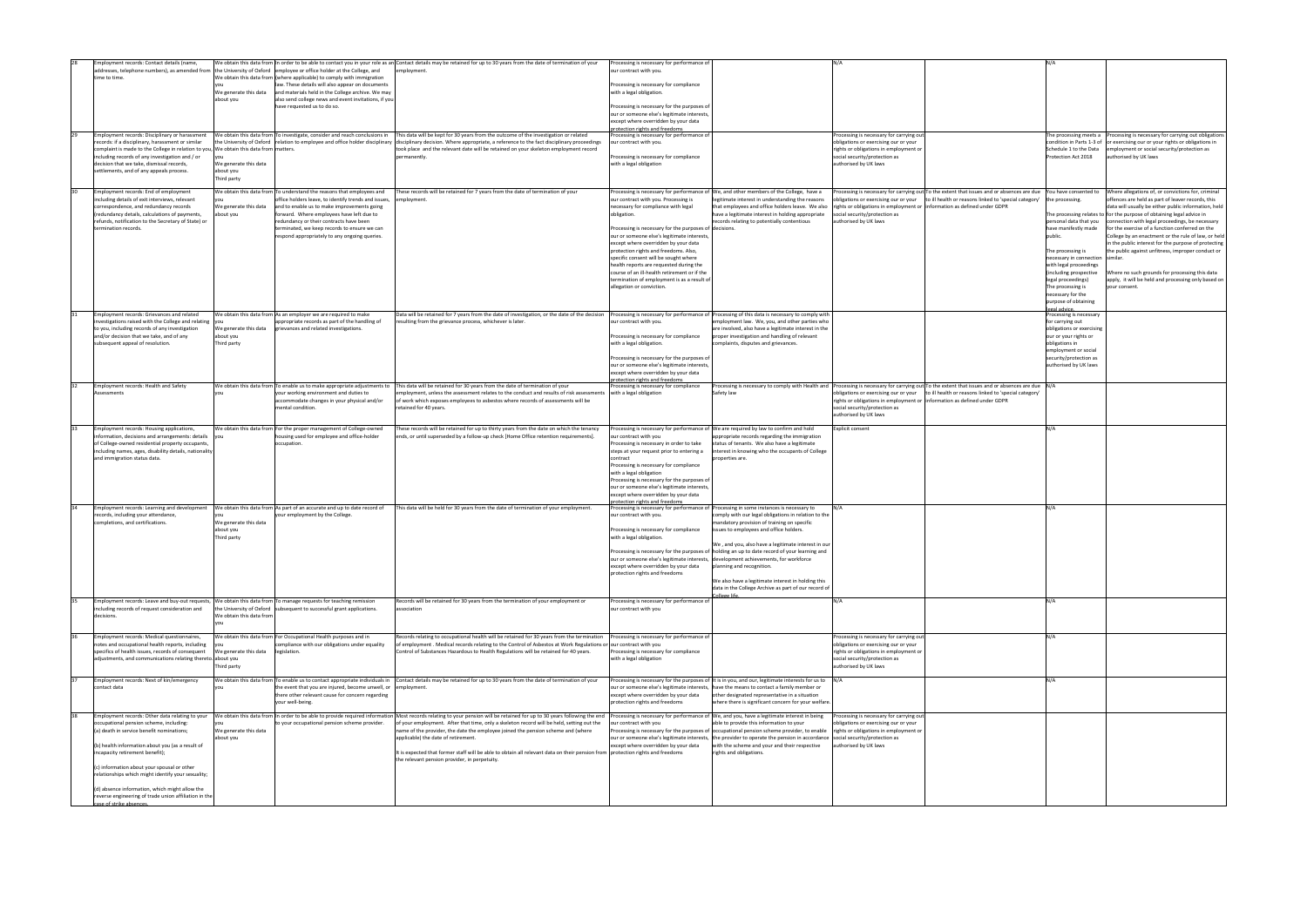| Employment records: Contact details (name,                                                                                                                                                                                                       |                                                   |                                                                                                                                                              | We obtain this data from In order to be able to contact you in your role as an Contact details may be retained for up to 30 years from the date of termination of your                                                                                                                                                      | Processing is necessary for performance of                                                                                       |                                                                                                                                                                                                                                                                            |                                                                                                                                                              |                                                                                                                                                                      |                                                                                      |                                                                                                                                                                                                                                                                 |
|--------------------------------------------------------------------------------------------------------------------------------------------------------------------------------------------------------------------------------------------------|---------------------------------------------------|--------------------------------------------------------------------------------------------------------------------------------------------------------------|-----------------------------------------------------------------------------------------------------------------------------------------------------------------------------------------------------------------------------------------------------------------------------------------------------------------------------|----------------------------------------------------------------------------------------------------------------------------------|----------------------------------------------------------------------------------------------------------------------------------------------------------------------------------------------------------------------------------------------------------------------------|--------------------------------------------------------------------------------------------------------------------------------------------------------------|----------------------------------------------------------------------------------------------------------------------------------------------------------------------|--------------------------------------------------------------------------------------|-----------------------------------------------------------------------------------------------------------------------------------------------------------------------------------------------------------------------------------------------------------------|
| addresses, telephone numbers), as amended from  the University of Oxford  employee or office holder at the College, and<br>time to time.                                                                                                         |                                                   | We obtain this data from (where applicable) to comply with immigration<br>law. These details will also appear on documents                                   | employment.                                                                                                                                                                                                                                                                                                                 | our contract with you.<br>Processing is necessary for compliance                                                                 |                                                                                                                                                                                                                                                                            |                                                                                                                                                              |                                                                                                                                                                      |                                                                                      |                                                                                                                                                                                                                                                                 |
|                                                                                                                                                                                                                                                  | We generate this data<br>about you                | and materials held in the College archive. We may<br>also send college news and event invitations, if you<br>have requested us to do so.                     |                                                                                                                                                                                                                                                                                                                             | with a legal obligation.<br>Processing is necessary for the purposes of                                                          |                                                                                                                                                                                                                                                                            |                                                                                                                                                              |                                                                                                                                                                      |                                                                                      |                                                                                                                                                                                                                                                                 |
|                                                                                                                                                                                                                                                  |                                                   |                                                                                                                                                              |                                                                                                                                                                                                                                                                                                                             | our or someone else's legitimate interests,<br>except where overridden by your data<br>rotection rights and freedoms             |                                                                                                                                                                                                                                                                            |                                                                                                                                                              |                                                                                                                                                                      |                                                                                      |                                                                                                                                                                                                                                                                 |
| Employment records: Disciplinary or harassment<br>records: if a disciplinary, harassment or similar<br>complaint is made to the College in relation to you, We obtain this data from matters.<br>including records of any investigation and / or |                                                   | We obtain this data from To investigate, consider and reach conclusions in<br>the University of Oxford   relation to employee and office holder disciplinary | This data will be kept for 30 years from the outcome of the investigation or related<br>disciplinary decision. Where appropriate, a reference to the fact disciplinary proceedings<br>ook place and the relevant date will be retained on your skeleton employment record<br>permanently.                                   | Processing is necessary for performance of<br>our contract with you.<br>Processing is necessary for compliance                   |                                                                                                                                                                                                                                                                            | Processing is necessary for carrying out<br>obligations or exercising our or your<br>rights or obligations in employment or<br>social security/protection as |                                                                                                                                                                      | Protection Act 2018                                                                  | The processing meets a   Processing is necessary for carrying out obligations<br>condition in Parts 1-3 of  or exercising our or your rights or obligations in<br>Schedule 1 to the Data   employment or social security/protection as<br>authorised by UK laws |
| decision that we take, dismissal records,<br>settlements, and of any appeals process.                                                                                                                                                            | We generate this data<br>about you<br>Third party |                                                                                                                                                              |                                                                                                                                                                                                                                                                                                                             | with a legal obligation                                                                                                          |                                                                                                                                                                                                                                                                            | authorised by UK laws                                                                                                                                        |                                                                                                                                                                      |                                                                                      |                                                                                                                                                                                                                                                                 |
| Employment records: End of employment                                                                                                                                                                                                            |                                                   | We obtain this data from To understand the reasons that employees and                                                                                        | These records will be retained for 7 years from the date of termination of your                                                                                                                                                                                                                                             |                                                                                                                                  | Processing is necessary for performance of  We, and other members of the College, have a                                                                                                                                                                                   |                                                                                                                                                              | rocessing is necessary for carrying out To the extent that issues and or absences are due  You have consented to  Where allegations of, or convictions for, criminal |                                                                                      |                                                                                                                                                                                                                                                                 |
| including details of exit interviews, relevant<br>correspondence, and redundancy records<br>(redundancy details, calculations of payments,                                                                                                       | We generate this data<br>about you                | office holders leave, to identify trends and issues,<br>and to enable us to make improvements going<br>forward. Where employees have left due to             | mployment.                                                                                                                                                                                                                                                                                                                  | our contract with you. Processing is<br>necessary for compliance with legal<br>obligation.                                       | legitimate interest in understanding the reasons<br>that employees and office holders leave. We also<br>have a legitimate interest in holding appropriate                                                                                                                  | rights or obligations in employment or  information as defined under GDPR<br>social security/protection as                                                   | bligations or exercising our or your   to ill health or reasons linked to 'special category'                                                                         | the processing.                                                                      | offences are held as part of leaver records, this<br>data will usually be either public information, held<br>The processing relates to for the purpose of obtaining legal advice in                                                                             |
| refunds, notification to the Secretary of State) or<br>termination records.                                                                                                                                                                      |                                                   | redundancy or their contracts have been<br>terminated, we keep records to ensure we can                                                                      |                                                                                                                                                                                                                                                                                                                             | Processing is necessary for the purposes of decisions.                                                                           | records relating to potentially contentious                                                                                                                                                                                                                                | authorised by UK laws                                                                                                                                        |                                                                                                                                                                      | have manifestly made<br>public.                                                      | personal data that you   connection with legal proceedings, be necessary<br>for the exercise of a function conferred on the                                                                                                                                     |
|                                                                                                                                                                                                                                                  |                                                   | respond appropriately to any ongoing queries.                                                                                                                |                                                                                                                                                                                                                                                                                                                             | our or someone else's legitimate interests,<br>except where overridden by your data<br>protection rights and freedoms. Also,     |                                                                                                                                                                                                                                                                            |                                                                                                                                                              |                                                                                                                                                                      | The processing is                                                                    | College by an enactment or the rule of law, or held<br>n the public interest for the purpose of protecting<br>the public against unfitness, improper conduct or                                                                                                 |
|                                                                                                                                                                                                                                                  |                                                   |                                                                                                                                                              |                                                                                                                                                                                                                                                                                                                             | specific consent will be sought where<br>health reports are requested during the<br>course of an ill-health retirement or if the |                                                                                                                                                                                                                                                                            |                                                                                                                                                              |                                                                                                                                                                      | necessary in connection similar.<br>with legal proceedings<br>(including prospective | Where no such grounds for processing this data                                                                                                                                                                                                                  |
|                                                                                                                                                                                                                                                  |                                                   |                                                                                                                                                              |                                                                                                                                                                                                                                                                                                                             | ermination of employment is as a result of<br>allegation or conviction.                                                          |                                                                                                                                                                                                                                                                            |                                                                                                                                                              |                                                                                                                                                                      | legal proceedings)<br>The processing is                                              | apply, it will be held and processing only based on<br>Ivour consent.                                                                                                                                                                                           |
|                                                                                                                                                                                                                                                  |                                                   |                                                                                                                                                              |                                                                                                                                                                                                                                                                                                                             |                                                                                                                                  |                                                                                                                                                                                                                                                                            |                                                                                                                                                              |                                                                                                                                                                      | necessary for the<br>purpose of obtaining<br>egal advice                             |                                                                                                                                                                                                                                                                 |
| Employment records: Grievances and related<br>investigations raised with the College and relating vou                                                                                                                                            |                                                   | We obtain this data from As an employer we are required to make<br>ppropriate records as part of the handling of                                             | Data will be retained for 7 years from the date of investigation, or the date of the decision   Processing is necessary for performance of   Processing of this data is necessary to comply with<br>esulting from the grievance process, whichever is later.                                                                | our contract with you.                                                                                                           | employment law. We, you, and other parties who                                                                                                                                                                                                                             |                                                                                                                                                              |                                                                                                                                                                      | Processing is necessary<br>for carrying out                                          |                                                                                                                                                                                                                                                                 |
| to you, including records of any investigation<br>and/or decision that we take, and of any<br>subsequent appeal of resolution.                                                                                                                   | We generate this data<br>about you<br>Third party | grievances and related investigations.                                                                                                                       |                                                                                                                                                                                                                                                                                                                             | Processing is necessary for compliance<br>with a legal obligation.                                                               | are involved, also have a legitimate interest in the<br>proper investigation and handling of relevant<br>complaints, disputes and grievances.                                                                                                                              |                                                                                                                                                              |                                                                                                                                                                      | obligations or exercising<br>our or your rights or<br>obligations in                 |                                                                                                                                                                                                                                                                 |
|                                                                                                                                                                                                                                                  |                                                   |                                                                                                                                                              |                                                                                                                                                                                                                                                                                                                             | Processing is necessary for the purposes of                                                                                      |                                                                                                                                                                                                                                                                            |                                                                                                                                                              |                                                                                                                                                                      | employment or social<br>security/protection as                                       |                                                                                                                                                                                                                                                                 |
|                                                                                                                                                                                                                                                  |                                                   |                                                                                                                                                              |                                                                                                                                                                                                                                                                                                                             | our or someone else's legitimate interests,<br>except where overridden by your data<br>protection rights and freedoms            |                                                                                                                                                                                                                                                                            |                                                                                                                                                              |                                                                                                                                                                      | authorised by UK laws                                                                |                                                                                                                                                                                                                                                                 |
| Employment records: Health and Safety<br>Assessments                                                                                                                                                                                             |                                                   | We obtain this data from To enable us to make appropriate adjustments to<br>your working environment and duties to                                           | This data will be retained for 30 years from the date of termination of your<br>mployment, unless the assessment relates to the conduct and results of risk assessments virth a legal obligation                                                                                                                            | Processing is necessary for compliance                                                                                           | Processing is necessary to comply with Health and   Processing is necessary for carrying out To the extent that issues and or absences are due   N/A<br>Safety law                                                                                                         |                                                                                                                                                              | obligations or exercising our or your   to ill health or reasons linked to 'special category'                                                                        |                                                                                      |                                                                                                                                                                                                                                                                 |
|                                                                                                                                                                                                                                                  |                                                   | accommodate changes in your physical and/or<br>mental condition.                                                                                             | f work which exposes employees to asbestos where records of assessments will be<br>retained for 40 years.                                                                                                                                                                                                                   |                                                                                                                                  |                                                                                                                                                                                                                                                                            | rights or obligations in employment or  information as defined under GDPR<br>social security/protection as<br>authorised by UK laws                          |                                                                                                                                                                      |                                                                                      |                                                                                                                                                                                                                                                                 |
| Employment records: Housing applications,<br>information, decisions and arrangements: details  you                                                                                                                                               |                                                   | We obtain this data from For the proper management of College-owned<br>housing used for employee and office-holder                                           | These records will be retained for up to thirty years from the date on which the tenancy<br>ends, or until superseded by a follow-up check [Home Office retention requirements].                                                                                                                                            | our contract with you                                                                                                            | Processing is necessary for performance of We are required by law to confirm and hold<br>ppropriate records regarding the immigration                                                                                                                                      | Explicit consent                                                                                                                                             |                                                                                                                                                                      |                                                                                      |                                                                                                                                                                                                                                                                 |
| of College-owned residential property occupants,<br>including names, ages, disability details, nationality<br>and immigration status data.                                                                                                       |                                                   | occupation.                                                                                                                                                  |                                                                                                                                                                                                                                                                                                                             | Processing is necessary in order to take<br>steps at your request prior to entering a<br>contract                                | status of tenants. We also have a legitimate<br>interest in knowing who the occupants of College<br>roperties are.                                                                                                                                                         |                                                                                                                                                              |                                                                                                                                                                      |                                                                                      |                                                                                                                                                                                                                                                                 |
|                                                                                                                                                                                                                                                  |                                                   |                                                                                                                                                              |                                                                                                                                                                                                                                                                                                                             | Processing is necessary for compliance<br>with a legal obligation<br>Processing is necessary for the purposes of                 |                                                                                                                                                                                                                                                                            |                                                                                                                                                              |                                                                                                                                                                      |                                                                                      |                                                                                                                                                                                                                                                                 |
|                                                                                                                                                                                                                                                  |                                                   |                                                                                                                                                              |                                                                                                                                                                                                                                                                                                                             | our or someone else's legitimate interests,<br>except where overridden by your data<br>protection rights and freedoms            |                                                                                                                                                                                                                                                                            |                                                                                                                                                              |                                                                                                                                                                      |                                                                                      |                                                                                                                                                                                                                                                                 |
| Employment records: Learning and development   We obtain this data from As part of an accurate and up to date record of<br>records, including your attendance,                                                                                   |                                                   | your employment by the College.                                                                                                                              | This data will be held for 30 years from the date of termination of your employment.                                                                                                                                                                                                                                        | our contract with you.                                                                                                           | Processing is necessary for performance of  Processing in some instances is necessary to<br>comply with our legal obligations in relation to the                                                                                                                           |                                                                                                                                                              |                                                                                                                                                                      | N/A                                                                                  |                                                                                                                                                                                                                                                                 |
| completions, and certifications.                                                                                                                                                                                                                 | We generate this data<br>about you<br>Third party |                                                                                                                                                              |                                                                                                                                                                                                                                                                                                                             | Processing is necessary for compliance                                                                                           | nandatory provision of training on specific<br>issues to employees and office holders.                                                                                                                                                                                     |                                                                                                                                                              |                                                                                                                                                                      |                                                                                      |                                                                                                                                                                                                                                                                 |
|                                                                                                                                                                                                                                                  |                                                   |                                                                                                                                                              |                                                                                                                                                                                                                                                                                                                             | with a legal obligation.                                                                                                         | We, and you, also have a legitimate interest in our<br>Processing is necessary for the purposes of nolding an up to date record of your learning and                                                                                                                       |                                                                                                                                                              |                                                                                                                                                                      |                                                                                      |                                                                                                                                                                                                                                                                 |
|                                                                                                                                                                                                                                                  |                                                   |                                                                                                                                                              |                                                                                                                                                                                                                                                                                                                             | except where overridden by your data<br>protection rights and freedoms                                                           | our or someone else's legitimate interests, development achievements, for workforce<br>planning and recognition.                                                                                                                                                           |                                                                                                                                                              |                                                                                                                                                                      |                                                                                      |                                                                                                                                                                                                                                                                 |
|                                                                                                                                                                                                                                                  |                                                   |                                                                                                                                                              |                                                                                                                                                                                                                                                                                                                             |                                                                                                                                  | We also have a legitimate interest in holding this<br>data in the College Archive as part of our record of<br>مأزا موماان                                                                                                                                                  |                                                                                                                                                              |                                                                                                                                                                      |                                                                                      |                                                                                                                                                                                                                                                                 |
| Employment records: Leave and buy-out requests, We obtain this data from To manage requests for teaching remission<br>including records of request consideration and                                                                             |                                                   | the University of Oxford   subsequent to successful grant applications.                                                                                      | Records will be retained for 30 years from the termination of your employment or<br>ssociation                                                                                                                                                                                                                              | Processing is necessary for performance of<br>our contract with you                                                              |                                                                                                                                                                                                                                                                            | N/A                                                                                                                                                          |                                                                                                                                                                      | N/A                                                                                  |                                                                                                                                                                                                                                                                 |
| decisions.                                                                                                                                                                                                                                       | We obtain this data from                          |                                                                                                                                                              |                                                                                                                                                                                                                                                                                                                             |                                                                                                                                  |                                                                                                                                                                                                                                                                            |                                                                                                                                                              |                                                                                                                                                                      |                                                                                      |                                                                                                                                                                                                                                                                 |
| Employment records: Medical questionnaires.<br>notes and occupational health reports, including                                                                                                                                                  |                                                   | We obtain this data from For Occupational Health purposes and in<br>compliance with our obligations under equality                                           | Records relating to occupational health will be retained for 30 years from the termination Processing is necessary for performance of<br>f employment . Medical records relating to the Control of Asbestos at Work Regulations or our contract with you                                                                    |                                                                                                                                  |                                                                                                                                                                                                                                                                            | Processing is necessary for carrying out<br>obligations or exercising our or your                                                                            |                                                                                                                                                                      | N/A                                                                                  |                                                                                                                                                                                                                                                                 |
| specifics of health issues, records of consequent<br>adjustments, and communications relating thereto. about you                                                                                                                                 | We generate this data<br>Third party              | legislation.                                                                                                                                                 | Control of Substances Hazardous to Health Regulations will be retained for 40 years.                                                                                                                                                                                                                                        | Processing is necessary for compliance<br>with a legal obligation                                                                |                                                                                                                                                                                                                                                                            | rights or obligations in employment or<br>social security/protection as<br>authorised by UK laws                                                             |                                                                                                                                                                      |                                                                                      |                                                                                                                                                                                                                                                                 |
| Employment records: Next of kin/emergency<br>contact data                                                                                                                                                                                        |                                                   | We obtain this data from To enable us to contact appropriate individuals in<br>the event that you are injured, become unwell, or                             | Contact details may be retained for up to 30 years from the date of termination of your<br>mployment.                                                                                                                                                                                                                       |                                                                                                                                  | Processing is necessary for the purposes of It is in you, and our, legitimate interests for us to<br>our or someone else's legitimate interests, have the means to contact a family member or                                                                              |                                                                                                                                                              |                                                                                                                                                                      | N/A                                                                                  |                                                                                                                                                                                                                                                                 |
|                                                                                                                                                                                                                                                  |                                                   | there other relevant cause for concern regarding<br>your well-being.                                                                                         |                                                                                                                                                                                                                                                                                                                             | except where overridden by your data<br>protection rights and freedoms                                                           | other designated representative in a situation<br>where there is significant concern for your welfare.                                                                                                                                                                     |                                                                                                                                                              |                                                                                                                                                                      |                                                                                      |                                                                                                                                                                                                                                                                 |
| occupational pension scheme, including:<br>(a) death in service benefit nominations;                                                                                                                                                             |                                                   | o your occupational pension scheme provider.                                                                                                                 | Employment records: Other data relating to your  We obtain this data from  In order to be able to provide required information  Most records relating to your pension will be retained for up to 30 years following the end  P<br>of your employment. After that time, only a skeleton record will be held, setting out the | our contract with you                                                                                                            | able to provide this information to your                                                                                                                                                                                                                                   | Processing is necessary for carrying out<br>oligations or exercising our or your                                                                             |                                                                                                                                                                      |                                                                                      |                                                                                                                                                                                                                                                                 |
| (b) health information about you (as a result of                                                                                                                                                                                                 | We generate this data<br>about you                |                                                                                                                                                              | hame of the provider, the date the employee joined the pension scheme and (where<br>applicable) the date of retirement.                                                                                                                                                                                                     | except where overridden by your data                                                                                             | rocessing is necessary for the purposes of occupational pension scheme provider, to enable<br>our or someone else's legitimate interests, the provider to operate the pension in accordance social security/protection as<br>with the scheme and your and their respective | rights or obligations in employment or<br>authorised by UK laws                                                                                              |                                                                                                                                                                      |                                                                                      |                                                                                                                                                                                                                                                                 |
| incapacity retirement benefit);                                                                                                                                                                                                                  |                                                   |                                                                                                                                                              | It is expected that former staff will be able to obtain all relevant data on their pension from protection rights and freedoms<br>he relevant pension provider, in perpetuity.                                                                                                                                              |                                                                                                                                  | rights and obligations.                                                                                                                                                                                                                                                    |                                                                                                                                                              |                                                                                                                                                                      |                                                                                      |                                                                                                                                                                                                                                                                 |
| (c) information about your spousal or other<br>relationships which might identify your sexuality;                                                                                                                                                |                                                   |                                                                                                                                                              |                                                                                                                                                                                                                                                                                                                             |                                                                                                                                  |                                                                                                                                                                                                                                                                            |                                                                                                                                                              |                                                                                                                                                                      |                                                                                      |                                                                                                                                                                                                                                                                 |
| (d) absence information, which might allow the<br>reverse engineering of trade union affiliation in the<br>case of strike absences.                                                                                                              |                                                   |                                                                                                                                                              |                                                                                                                                                                                                                                                                                                                             |                                                                                                                                  |                                                                                                                                                                                                                                                                            |                                                                                                                                                              |                                                                                                                                                                      |                                                                                      |                                                                                                                                                                                                                                                                 |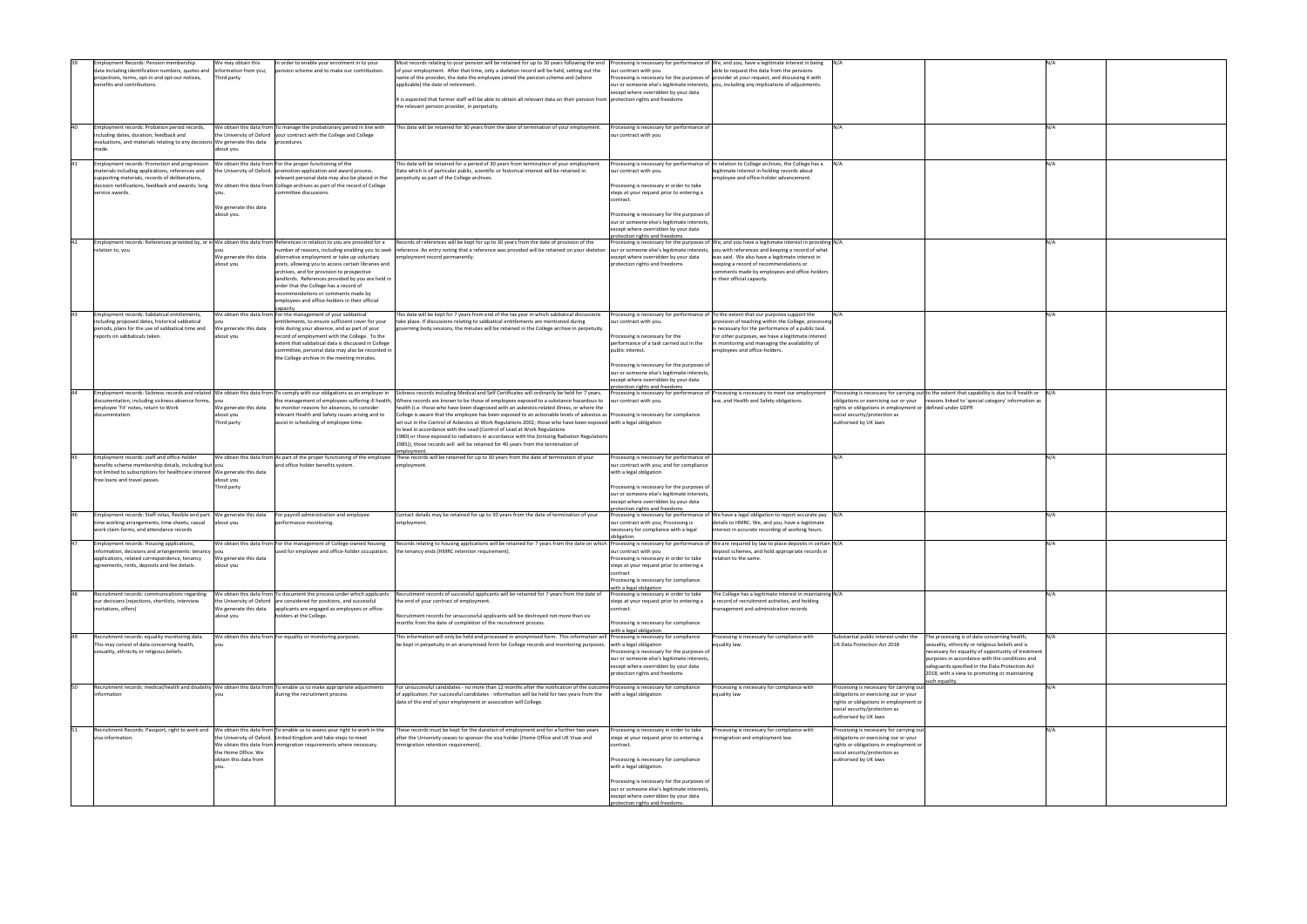|    | Employment Records: Pension membership                                                                                      | We may obtain this    | In order to enable your enrolment in to your                                                                    | Most records relating to your pension will be retained for up to 30 years following the end  Processing is necessary for performance of  We, and you, have a legitimate interest in being                                  |                                                                                        |                                                                                                             |                                                           |                                                                                                        |     |  |
|----|-----------------------------------------------------------------------------------------------------------------------------|-----------------------|-----------------------------------------------------------------------------------------------------------------|----------------------------------------------------------------------------------------------------------------------------------------------------------------------------------------------------------------------------|----------------------------------------------------------------------------------------|-------------------------------------------------------------------------------------------------------------|-----------------------------------------------------------|--------------------------------------------------------------------------------------------------------|-----|--|
|    | data including identification numbers, quotes and                                                                           | information from you; | bension scheme and to make our contribution.                                                                    | of your employment. After that time, only a skeleton record will be held, setting out the                                                                                                                                  | our contract with you                                                                  | able to request this data from the pensions                                                                 |                                                           |                                                                                                        |     |  |
|    | projections, terms, opt-in and opt-out notices,                                                                             |                       |                                                                                                                 |                                                                                                                                                                                                                            |                                                                                        | Processing is necessary for the purposes of provider at your request, and discussing it with                |                                                           |                                                                                                        |     |  |
|    |                                                                                                                             | Third party           |                                                                                                                 | name of the provider, the date the employee joined the pension scheme and (where                                                                                                                                           |                                                                                        |                                                                                                             |                                                           |                                                                                                        |     |  |
|    | benefits and contributions.                                                                                                 |                       |                                                                                                                 | applicable) the date of retirement.                                                                                                                                                                                        |                                                                                        | our or someone else's legitimate interests, you, including any implications of adjustments.                 |                                                           |                                                                                                        |     |  |
|    |                                                                                                                             |                       |                                                                                                                 |                                                                                                                                                                                                                            | except where overridden by your data                                                   |                                                                                                             |                                                           |                                                                                                        |     |  |
|    |                                                                                                                             |                       |                                                                                                                 | It is expected that former staff will be able to obtain all relevant data on their pension from  protection rights and freedoms                                                                                            |                                                                                        |                                                                                                             |                                                           |                                                                                                        |     |  |
|    |                                                                                                                             |                       |                                                                                                                 | the relevant pension provider, in perpetuity.                                                                                                                                                                              |                                                                                        |                                                                                                             |                                                           |                                                                                                        |     |  |
|    |                                                                                                                             |                       |                                                                                                                 |                                                                                                                                                                                                                            |                                                                                        |                                                                                                             |                                                           |                                                                                                        |     |  |
|    | Employment records: Probation period records,                                                                               |                       | We obtain this data from To manage the probationary period in line with                                         | This data will be retained for 30 years from the date of termination of your employment.                                                                                                                                   | Processing is necessary for performance of                                             |                                                                                                             | N/A                                                       |                                                                                                        | N/A |  |
|    | including dates, duration, feedback and                                                                                     |                       | he University of Oxford   your contract with the College and College                                            |                                                                                                                                                                                                                            | our contract with you                                                                  |                                                                                                             |                                                           |                                                                                                        |     |  |
|    | evaluations, and materials relating to any decisions We generate this data                                                  |                       | procedures.                                                                                                     |                                                                                                                                                                                                                            |                                                                                        |                                                                                                             |                                                           |                                                                                                        |     |  |
|    | made.                                                                                                                       | about you             |                                                                                                                 |                                                                                                                                                                                                                            |                                                                                        |                                                                                                             |                                                           |                                                                                                        |     |  |
|    |                                                                                                                             |                       |                                                                                                                 |                                                                                                                                                                                                                            |                                                                                        |                                                                                                             |                                                           |                                                                                                        |     |  |
|    | Employment records: Promotion and progression   We obtain this data from For the proper functioning of the                  |                       |                                                                                                                 | This data will be retained for a period of 30 years from termination of your employment.                                                                                                                                   |                                                                                        | Processing is necessary for performance of  In relation to College archives, the College has a              |                                                           |                                                                                                        | N/A |  |
|    | materials including applications, references and                                                                            |                       | the University of Oxford. promotion application and award process.                                              | Data which is of particular public, scientific or historical interest will be retained in                                                                                                                                  | our contract with you.                                                                 | legitimate interest in holding records about                                                                |                                                           |                                                                                                        |     |  |
|    | supporting materials, records of deliberations,                                                                             |                       | elevant personal data may also be placed in the                                                                 | perpetuity as part of the College archives.                                                                                                                                                                                |                                                                                        | employee and office-holder advancement.                                                                     |                                                           |                                                                                                        |     |  |
|    | decision notifications, feedback and awards; long                                                                           |                       | We obtain this data from College archives as part of the record of College                                      |                                                                                                                                                                                                                            | Processing is necessary in order to take                                               |                                                                                                             |                                                           |                                                                                                        |     |  |
|    | service awards.                                                                                                             |                       | committee discussions.                                                                                          |                                                                                                                                                                                                                            | steps at your request prior to entering a                                              |                                                                                                             |                                                           |                                                                                                        |     |  |
|    |                                                                                                                             |                       |                                                                                                                 |                                                                                                                                                                                                                            | contract.                                                                              |                                                                                                             |                                                           |                                                                                                        |     |  |
|    |                                                                                                                             | We generate this data |                                                                                                                 |                                                                                                                                                                                                                            |                                                                                        |                                                                                                             |                                                           |                                                                                                        |     |  |
|    |                                                                                                                             | about you.            |                                                                                                                 |                                                                                                                                                                                                                            | Processing is necessary for the purposes of                                            |                                                                                                             |                                                           |                                                                                                        |     |  |
|    |                                                                                                                             |                       |                                                                                                                 |                                                                                                                                                                                                                            | our or someone else's legitimate interests,                                            |                                                                                                             |                                                           |                                                                                                        |     |  |
|    |                                                                                                                             |                       |                                                                                                                 |                                                                                                                                                                                                                            | except where overridden by your data                                                   |                                                                                                             |                                                           |                                                                                                        |     |  |
| 42 |                                                                                                                             |                       |                                                                                                                 |                                                                                                                                                                                                                            | otection rights and freedoms                                                           |                                                                                                             |                                                           |                                                                                                        | N/A |  |
|    | Employment records: References provided by, or in We obtain this data from References in relation to you are provided for a |                       |                                                                                                                 | Records of references will be kept for up to 30 years from the date of provision of the                                                                                                                                    |                                                                                        | Processing is necessary for the purposes of $ $ We, and you have a legitimate interest in providing $ N/A $ |                                                           |                                                                                                        |     |  |
|    | relation to, you                                                                                                            |                       |                                                                                                                 | umber of reasons, including enabling you to seek  reference. An entry noting that a reference was provided will be retained on your skeleton                                                                               |                                                                                        | our or someone else's legitimate interests, you with references and keeping a record of what                |                                                           |                                                                                                        |     |  |
|    |                                                                                                                             | We generate this data | alternative employment or take up voluntary                                                                     | mployment record permanently.                                                                                                                                                                                              | except where overridden by your data                                                   | was said. We also have a legitimate interest in                                                             |                                                           |                                                                                                        |     |  |
|    |                                                                                                                             | about you             | posts, allowing you to access certain libraries and<br>archives, and for provision to prospective               |                                                                                                                                                                                                                            | protection rights and freedoms                                                         | keeping a record of recommendations or<br>comments made by employees and office-holders                     |                                                           |                                                                                                        |     |  |
|    |                                                                                                                             |                       | landlords. References provided by you are held in                                                               |                                                                                                                                                                                                                            |                                                                                        | in their official capacity.                                                                                 |                                                           |                                                                                                        |     |  |
|    |                                                                                                                             |                       | order that the College has a record of                                                                          |                                                                                                                                                                                                                            |                                                                                        |                                                                                                             |                                                           |                                                                                                        |     |  |
|    |                                                                                                                             |                       | recommendations or comments made by                                                                             |                                                                                                                                                                                                                            |                                                                                        |                                                                                                             |                                                           |                                                                                                        |     |  |
|    |                                                                                                                             |                       | employees and office-holders in their official                                                                  |                                                                                                                                                                                                                            |                                                                                        |                                                                                                             |                                                           |                                                                                                        |     |  |
|    |                                                                                                                             |                       | anacity                                                                                                         |                                                                                                                                                                                                                            |                                                                                        |                                                                                                             |                                                           |                                                                                                        |     |  |
|    | Employment records: Sabbatical entitlements,                                                                                |                       | We obtain this data from For the management of your sabbatical                                                  | This data will be kept for 7 years from end of the tax year in which sabbatical discussions                                                                                                                                |                                                                                        | Processing is necessary for performance of To the extent that our purposes support the                      |                                                           |                                                                                                        | N/A |  |
|    | including proposed dates, historical sabbatical                                                                             |                       | entitlements, to ensure sufficient cover for your                                                               | take place. If discussions relating to sabbatical entitlements are mentioned during                                                                                                                                        | our contract with you.                                                                 | provision of teaching within the College, processing                                                        |                                                           |                                                                                                        |     |  |
|    | periods, plans for the use of sabbatical time and                                                                           | We generate this data | role during your absence, and as part of your                                                                   | iverning body sessions, the minutes will be retained in the College archive in perpetuity.                                                                                                                                 |                                                                                        | is necessary for the performance of a public task.                                                          |                                                           |                                                                                                        |     |  |
|    | reports on sabbaticals taken                                                                                                | about you             | record of employment with the College. To the                                                                   |                                                                                                                                                                                                                            | rocessing is necessary for the                                                         | For other purposes, we have a legitimate interest                                                           |                                                           |                                                                                                        |     |  |
|    |                                                                                                                             |                       | extent that sabbatical data is discussed in College                                                             |                                                                                                                                                                                                                            | performance of a task carried out in the                                               | in monitoring and managing the availability of                                                              |                                                           |                                                                                                        |     |  |
|    |                                                                                                                             |                       | committee, personal data may also be recorded in                                                                |                                                                                                                                                                                                                            | public interest.                                                                       | employees and office-holders.                                                                               |                                                           |                                                                                                        |     |  |
|    |                                                                                                                             |                       | the College archive in the meeting minutes.                                                                     |                                                                                                                                                                                                                            |                                                                                        |                                                                                                             |                                                           |                                                                                                        |     |  |
|    |                                                                                                                             |                       |                                                                                                                 |                                                                                                                                                                                                                            | Processing is necessary for the purposes of                                            |                                                                                                             |                                                           |                                                                                                        |     |  |
|    |                                                                                                                             |                       |                                                                                                                 |                                                                                                                                                                                                                            | our or someone else's legitimate interests,                                            |                                                                                                             |                                                           |                                                                                                        |     |  |
|    |                                                                                                                             |                       |                                                                                                                 |                                                                                                                                                                                                                            | except where overridden by your data                                                   |                                                                                                             |                                                           |                                                                                                        |     |  |
|    |                                                                                                                             |                       |                                                                                                                 |                                                                                                                                                                                                                            | rotection rights and freedoms                                                          |                                                                                                             |                                                           |                                                                                                        |     |  |
|    |                                                                                                                             |                       |                                                                                                                 | Employment records: Sickness records and related  We obtain this data from To comply with our obligations as an employer in  Sickness records including Medical and Self Certificates will ordinarily be held for 7 years. |                                                                                        | Processing is necessary for performance of   Processing is necessary to meet our employment                 |                                                           | Processing is necessary for carrying out to the extent that capability is due to ill health or $ N/A $ |     |  |
|    | documentation, including sickness absence forms, you                                                                        |                       |                                                                                                                 | the management of employees suffering ill health,  Where records are known to be those of employees exposed to a substance hazardous to sour contract with you.                                                            |                                                                                        | law, and Health and Safety obligations.                                                                     |                                                           | obligations or exercising our or your   reasons linked to 'special category' information as            |     |  |
|    | employee 'Fit' notes, return to Work                                                                                        | We generate this data | o monitor reasons for absences, to consider                                                                     | health (i.e. those who have been diagnosed with an asbestos-related illness, or where the                                                                                                                                  |                                                                                        |                                                                                                             | rights or obligations in employment or defined under GDPR |                                                                                                        |     |  |
|    | documentation.                                                                                                              | about you             | relevant Health and Safety issues arising and to                                                                | College is aware that the employee has been exposed to an actionable levels of asbestos as Processing is necessary for compliance                                                                                          |                                                                                        |                                                                                                             | social security/protection as                             |                                                                                                        |     |  |
|    |                                                                                                                             | Third party           | assist in scheduling of employee time.                                                                          | set out in the Control of Asbestos at Work Regulations 2002; those who have been exposed with a legal obligation                                                                                                           |                                                                                        |                                                                                                             | authorised by UK laws                                     |                                                                                                        |     |  |
|    |                                                                                                                             |                       |                                                                                                                 |                                                                                                                                                                                                                            |                                                                                        |                                                                                                             |                                                           |                                                                                                        |     |  |
|    |                                                                                                                             |                       |                                                                                                                 | to lead in accordance with the Lead (Control of Lead at Work Regulations                                                                                                                                                   |                                                                                        |                                                                                                             |                                                           |                                                                                                        |     |  |
|    |                                                                                                                             |                       |                                                                                                                 | 1980) or those exposed to radiations in accordance with the (Ionising Radiation Regulations                                                                                                                                |                                                                                        |                                                                                                             |                                                           |                                                                                                        |     |  |
|    |                                                                                                                             |                       |                                                                                                                 | 1985)), those records will will be retained for 40 years from the termination of                                                                                                                                           |                                                                                        |                                                                                                             |                                                           |                                                                                                        |     |  |
|    |                                                                                                                             |                       |                                                                                                                 | mployment                                                                                                                                                                                                                  |                                                                                        |                                                                                                             | N/A                                                       |                                                                                                        | N/A |  |
|    | Employment records: staff and office-holder<br>benefits scheme membership details, including but vou                        |                       | We obtain this data from As part of the proper functioning of the employee<br>and office holder benefits system | These records will be retained for up to 30 years from the date of termination of your<br>mployment                                                                                                                        | rocessing is necessary for performance of<br>our contract with you; and for compliance |                                                                                                             |                                                           |                                                                                                        |     |  |
|    | not limited to subscriptions for healthcare interest  We generate this data                                                 |                       |                                                                                                                 |                                                                                                                                                                                                                            | with a legal obligation                                                                |                                                                                                             |                                                           |                                                                                                        |     |  |
|    | free loans and travel passes.                                                                                               | about you             |                                                                                                                 |                                                                                                                                                                                                                            |                                                                                        |                                                                                                             |                                                           |                                                                                                        |     |  |
|    |                                                                                                                             | Third party           |                                                                                                                 |                                                                                                                                                                                                                            | Processing is necessary for the purposes of                                            |                                                                                                             |                                                           |                                                                                                        |     |  |
|    |                                                                                                                             |                       |                                                                                                                 |                                                                                                                                                                                                                            | our or someone else's legitimate interests,                                            |                                                                                                             |                                                           |                                                                                                        |     |  |
|    |                                                                                                                             |                       |                                                                                                                 |                                                                                                                                                                                                                            | except where overridden by your data                                                   |                                                                                                             |                                                           |                                                                                                        |     |  |
|    |                                                                                                                             |                       |                                                                                                                 |                                                                                                                                                                                                                            | rotection rights and freedoms                                                          |                                                                                                             |                                                           |                                                                                                        |     |  |
|    | Employment records: Staff rotas, flexible and part- We generate this data                                                   |                       | For payroll administration and employee                                                                         | Contact details may be retained for up to 30 years from the date of termination of your                                                                                                                                    |                                                                                        | Processing is necessary for performance of We have a legal obligation to report accurate pay N/A            |                                                           |                                                                                                        | N/A |  |
|    | time working arrangements, time sheets, casual                                                                              | about you             | berformance monitoring.                                                                                         | employment.                                                                                                                                                                                                                | our contract with you; Processing is                                                   | details to HMRC. We, and you, have a legitimate                                                             |                                                           |                                                                                                        |     |  |
|    | work claim forms, and attendance records                                                                                    |                       |                                                                                                                 |                                                                                                                                                                                                                            | ecessary for compliance with a legal                                                   | interest in accurate recording of working hours.                                                            |                                                           |                                                                                                        |     |  |
|    |                                                                                                                             |                       |                                                                                                                 |                                                                                                                                                                                                                            | bligation                                                                              |                                                                                                             |                                                           |                                                                                                        | N/A |  |
|    | Employment records: Housing applications,                                                                                   |                       | We obtain this data from For the management of College-owned housing                                            | Records relating to housing applications will be retained for 7 years from the date on which Processing is necessary for performance of We are required by law to place deposits in certain N/A                            |                                                                                        |                                                                                                             |                                                           |                                                                                                        |     |  |
|    | information, decisions and arrangements: tenancy you                                                                        |                       | used for employee and office-holder occupation.   the tenancy ends [HMRC retention requirement].                |                                                                                                                                                                                                                            | our contract with you                                                                  | deposit schemes, and hold appropriate records in                                                            |                                                           |                                                                                                        |     |  |
|    | applications, related correspondence, tenancy                                                                               | We generate this data |                                                                                                                 |                                                                                                                                                                                                                            | Processing is necessary in order to take                                               | relation to the same.                                                                                       |                                                           |                                                                                                        |     |  |
|    | agreements, rents, deposits and fee details.                                                                                | about you             |                                                                                                                 |                                                                                                                                                                                                                            | steps at your request prior to entering a<br>contract                                  |                                                                                                             |                                                           |                                                                                                        |     |  |
|    |                                                                                                                             |                       |                                                                                                                 |                                                                                                                                                                                                                            | Processing is necessary for compliance                                                 |                                                                                                             |                                                           |                                                                                                        |     |  |
|    |                                                                                                                             |                       |                                                                                                                 |                                                                                                                                                                                                                            | with a legal obligation                                                                |                                                                                                             |                                                           |                                                                                                        |     |  |
|    | Recruitment records: communications regarding                                                                               |                       | We obtain this data from To document the process under which applicants                                         | Recruitment records of successful applicants will be retained for 7 years from the date of                                                                                                                                 | Processing is necessary in order to take                                               | The College has a legitimate interest in maintaining N/A                                                    |                                                           |                                                                                                        | N/A |  |
|    | our decisions (rejections, shortlists, interview                                                                            |                       | the University of Oxford are considered for positions, and successful                                           | the end of your contract of employment.                                                                                                                                                                                    | steps at your request prior to entering a                                              | a record of recruitment activities, and holding                                                             |                                                           |                                                                                                        |     |  |
|    | invitations, offers)                                                                                                        | We generate this data | applicants are engaged as employees or office-                                                                  |                                                                                                                                                                                                                            | contract.                                                                              | nanagement and administration records                                                                       |                                                           |                                                                                                        |     |  |
|    |                                                                                                                             | about you             | nolders at the College.                                                                                         | Recruitment records for unsuccessful applicants will be destroyed not more than six                                                                                                                                        |                                                                                        |                                                                                                             |                                                           |                                                                                                        |     |  |
|    |                                                                                                                             |                       |                                                                                                                 | months from the date of completion of the recruitment process.                                                                                                                                                             | Processing is necessary for compliance                                                 |                                                                                                             |                                                           |                                                                                                        |     |  |
|    |                                                                                                                             |                       |                                                                                                                 |                                                                                                                                                                                                                            | vith a legal obligation                                                                |                                                                                                             |                                                           |                                                                                                        |     |  |
|    | Recruitment records: equality monitoring data.                                                                              |                       | We obtain this data from For equality or monitoring purposes.                                                   | This information will only be held and processed in anonymised form. This information will Processing is necessary for compliance                                                                                          |                                                                                        | Processing is necessary for compliance with                                                                 |                                                           | Substantial public interest under the   The processing is of data concerning health,                   |     |  |
|    | This may consist of data concerning health,                                                                                 |                       |                                                                                                                 | be kept in perpetuity in an anonymised form for College records and monitoring purposes. with a legal obligation                                                                                                           |                                                                                        | equality law.                                                                                               | UK Data Protection Act 2018                               | sexuality, ethnicity or religious beliefs and is                                                       |     |  |
|    | sexuality, ethnicity or religious beliefs.                                                                                  |                       |                                                                                                                 |                                                                                                                                                                                                                            | rocessing is necessary for the purposes of                                             |                                                                                                             |                                                           | necessary for equality of opportunity of treatment                                                     |     |  |
|    |                                                                                                                             |                       |                                                                                                                 |                                                                                                                                                                                                                            | our or someone else's legitimate interests,<br>except where overridden by your data    |                                                                                                             |                                                           | purposes in accordance with the conditions and<br>safeguards specified in the Data Protection Act      |     |  |
|    |                                                                                                                             |                       |                                                                                                                 |                                                                                                                                                                                                                            | protection rights and freedoms                                                         |                                                                                                             |                                                           |                                                                                                        |     |  |
|    |                                                                                                                             |                       |                                                                                                                 |                                                                                                                                                                                                                            |                                                                                        |                                                                                                             |                                                           | 2018, with a view to promoting or maintaining<br>ich equality.                                         |     |  |
|    | Recruitment records: medical/health and disability We obtain this data from To enable us to make appropriate adjustments    |                       |                                                                                                                 | For unsuccessful candidates - no more than 12 months after the notification of the outcome Processing is necessary for compliance                                                                                          |                                                                                        | Processing is necessary for compliance with                                                                 | Processing is necessary for carrying out                  |                                                                                                        | N/A |  |
|    | information                                                                                                                 |                       | during the recruitment process                                                                                  | of application. For successful candidates - information will be held for two years from the with a legal obligation                                                                                                        |                                                                                        | equality law                                                                                                | obligations or exercising our or your                     |                                                                                                        |     |  |
|    |                                                                                                                             |                       |                                                                                                                 | date of the end of your employment or association will College.                                                                                                                                                            |                                                                                        |                                                                                                             | rights or obligations in employment or                    |                                                                                                        |     |  |
|    |                                                                                                                             |                       |                                                                                                                 |                                                                                                                                                                                                                            |                                                                                        |                                                                                                             | social security/protection as                             |                                                                                                        |     |  |
|    |                                                                                                                             |                       |                                                                                                                 |                                                                                                                                                                                                                            |                                                                                        |                                                                                                             | authorised by UK laws                                     |                                                                                                        |     |  |
|    |                                                                                                                             |                       |                                                                                                                 |                                                                                                                                                                                                                            |                                                                                        |                                                                                                             |                                                           |                                                                                                        |     |  |
|    | Recruitment Records: Passport, right to work and We obtain this data from To enable us to assess your right to work in the  |                       |                                                                                                                 | These records must be kept for the duration of employment and for a further two years                                                                                                                                      | rocessing is necessary in order to take                                                | Processing is necessary for compliance with                                                                 | Processing is necessary for carrying out                  |                                                                                                        | N/A |  |
|    | visa information.                                                                                                           |                       | the University of Oxford. United Kingdom and take steps to meet                                                 | after the University ceases to sponsor the visa holder [Home Office and UK Visas and                                                                                                                                       | teps at your request prior to entering a                                               | imigration and employment law.                                                                              | obligations or exercising our or your                     |                                                                                                        |     |  |
|    |                                                                                                                             |                       | We obtain this data from immigration requirements where necessary.                                              | nmigration retention requirement].                                                                                                                                                                                         | contract.                                                                              |                                                                                                             | rights or obligations in employment or                    |                                                                                                        |     |  |
|    |                                                                                                                             | the Home Office. We   |                                                                                                                 |                                                                                                                                                                                                                            |                                                                                        |                                                                                                             | social security/protection as                             |                                                                                                        |     |  |
|    |                                                                                                                             | obtain this data from |                                                                                                                 |                                                                                                                                                                                                                            | Processing is necessary for compliance                                                 |                                                                                                             | authorised by UK laws                                     |                                                                                                        |     |  |
|    |                                                                                                                             |                       |                                                                                                                 |                                                                                                                                                                                                                            | with a legal obligation.                                                               |                                                                                                             |                                                           |                                                                                                        |     |  |
|    |                                                                                                                             |                       |                                                                                                                 |                                                                                                                                                                                                                            |                                                                                        |                                                                                                             |                                                           |                                                                                                        |     |  |
|    |                                                                                                                             |                       |                                                                                                                 |                                                                                                                                                                                                                            | Processing is necessary for the purposes of                                            |                                                                                                             |                                                           |                                                                                                        |     |  |
|    |                                                                                                                             |                       |                                                                                                                 |                                                                                                                                                                                                                            | our or someone else's legitimate interests,<br>except where overridden by your data    |                                                                                                             |                                                           |                                                                                                        |     |  |